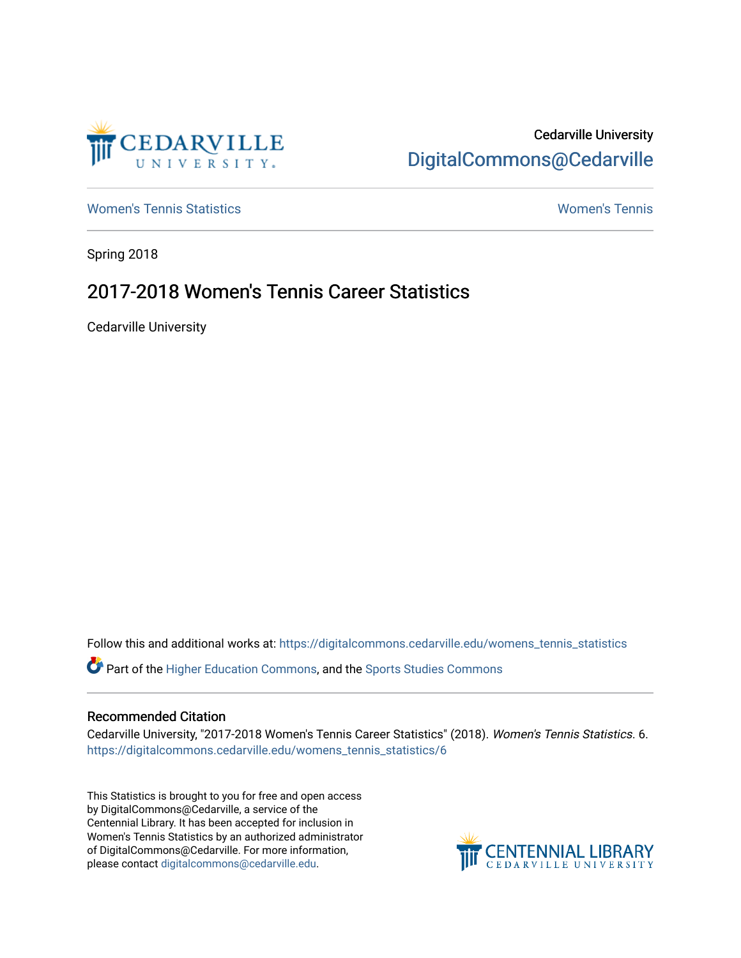

# Cedarville University [DigitalCommons@Cedarville](https://digitalcommons.cedarville.edu/)

[Women's Tennis Statistics](https://digitalcommons.cedarville.edu/womens_tennis_statistics) [Women's Tennis](https://digitalcommons.cedarville.edu/womens_tennis) 

Spring 2018

# 2017-2018 Women's Tennis Career Statistics

Cedarville University

Follow this and additional works at: [https://digitalcommons.cedarville.edu/womens\\_tennis\\_statistics](https://digitalcommons.cedarville.edu/womens_tennis_statistics?utm_source=digitalcommons.cedarville.edu%2Fwomens_tennis_statistics%2F6&utm_medium=PDF&utm_campaign=PDFCoverPages) 

Part of the [Higher Education Commons,](http://network.bepress.com/hgg/discipline/1245?utm_source=digitalcommons.cedarville.edu%2Fwomens_tennis_statistics%2F6&utm_medium=PDF&utm_campaign=PDFCoverPages) and the [Sports Studies Commons](http://network.bepress.com/hgg/discipline/1198?utm_source=digitalcommons.cedarville.edu%2Fwomens_tennis_statistics%2F6&utm_medium=PDF&utm_campaign=PDFCoverPages) 

#### Recommended Citation

Cedarville University, "2017-2018 Women's Tennis Career Statistics" (2018). Women's Tennis Statistics. 6. [https://digitalcommons.cedarville.edu/womens\\_tennis\\_statistics/6](https://digitalcommons.cedarville.edu/womens_tennis_statistics/6?utm_source=digitalcommons.cedarville.edu%2Fwomens_tennis_statistics%2F6&utm_medium=PDF&utm_campaign=PDFCoverPages)

This Statistics is brought to you for free and open access by DigitalCommons@Cedarville, a service of the Centennial Library. It has been accepted for inclusion in Women's Tennis Statistics by an authorized administrator of DigitalCommons@Cedarville. For more information, please contact [digitalcommons@cedarville.edu](mailto:digitalcommons@cedarville.edu).

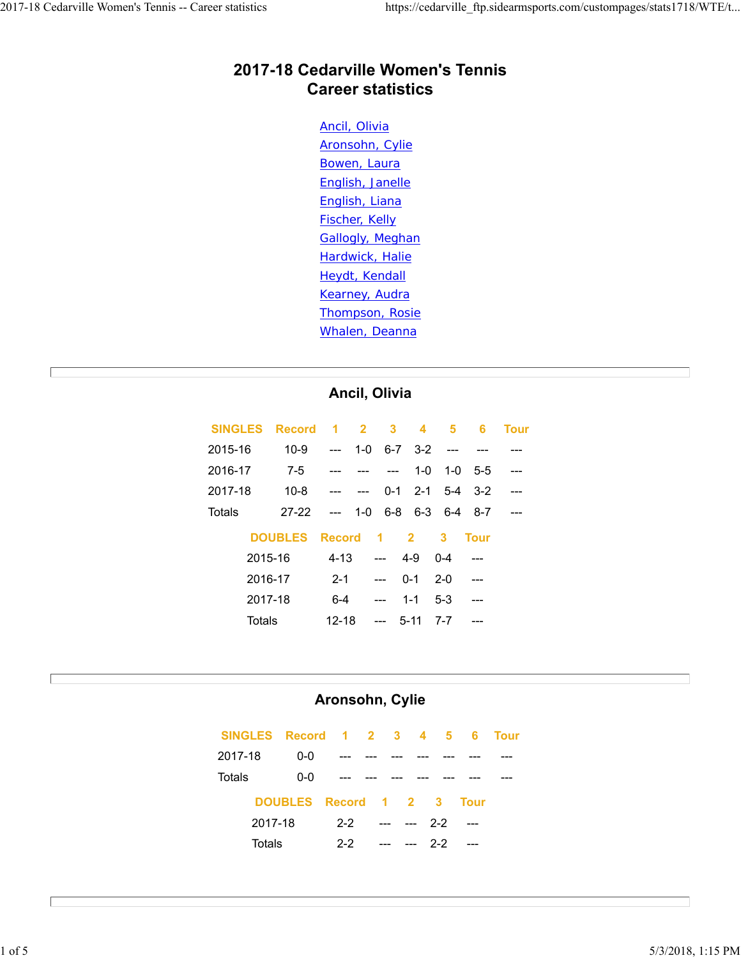#### **2017-18 Cedarville Women's Tennis Career statistics**

Ancil, Olivia Aronsohn, Cylie Bowen, Laura English, Janelle English, Liana Fischer, Kelly Gallogly, Meghan Hardwick, Halie Heydt, Kendall Kearney, Audra Thompson, Rosie Whalen, Deanna

#### **Ancil, Olivia**

| <b>SINGLES</b> | <b>Record</b>  |                  |               |                                  |                 | 1 2 3 4 5         | -6          | <b>Tour</b> |
|----------------|----------------|------------------|---------------|----------------------------------|-----------------|-------------------|-------------|-------------|
| 2015-16        | $10 - 9$       | $\sim$ 100 $\pm$ | 1- $\Omega$   |                                  | $6-7$ $3-2$ --- |                   |             |             |
| 2016-17        | $7-5$          |                  |               | <b><i><u>Participate</u></i></b> | 1-0             | $1 - 0$           | $-5-5$      |             |
| 2017-18        | $10 - 8$       |                  | $\sim$ $\sim$ |                                  |                 | $0-1$ 2-1 5-4 3-2 |             |             |
| Totals         | $27-22$        | $\sim$ $\sim$    |               |                                  |                 | $1-0$ 6-8 6-3 6-4 | - 8-7       |             |
|                | <b>DOUBLES</b> | <b>Record</b>    |               | -1                               | $\mathbf{2}$    | 3                 | <b>Tour</b> |             |
|                | 2015-16        |                  | $4-13$ ---    |                                  | 4-9             | $0 - 4$           |             |             |
|                | 2016-17        | $2 - 1$          |               | $---$                            | $0 - 1$         | $2 - 0$           |             |             |
|                | 2017-18        | $6 - 4$          |               | $-$                              | $1 - 1$         | $5-3$             | ---         |             |
| Totals         |                | $12 - 18$        |               | $---$                            | $5 - 11$        | $7 - 7$           |             |             |

#### **Aronsohn, Cylie**

|         |         | SINGLES Record 1 2 3 4 5 6 |         |     |                                                                                                                                                                                                                                                                                                                                                                                                                                   |         |         |             | <b>Tour</b> |
|---------|---------|----------------------------|---------|-----|-----------------------------------------------------------------------------------------------------------------------------------------------------------------------------------------------------------------------------------------------------------------------------------------------------------------------------------------------------------------------------------------------------------------------------------|---------|---------|-------------|-------------|
| 2017-18 |         | 0-0                        |         |     |                                                                                                                                                                                                                                                                                                                                                                                                                                   |         |         |             |             |
| Totals  |         | 0-0                        |         |     |                                                                                                                                                                                                                                                                                                                                                                                                                                   |         |         |             |             |
|         |         | DOUBLES Record 1 2 3       |         |     |                                                                                                                                                                                                                                                                                                                                                                                                                                   |         |         | <b>Tour</b> |             |
|         | 2017-18 |                            | $2 - 2$ | $-$ |                                                                                                                                                                                                                                                                                                                                                                                                                                   | --- 2-2 |         | ----        |             |
|         | Totals  |                            | $2-2$   |     | $\begin{array}{ccc} -\mathbf{1} & \mathbf{1} & \mathbf{1} & \mathbf{1} & \mathbf{1} & \mathbf{1} & \mathbf{1} & \mathbf{1} & \mathbf{1} & \mathbf{1} & \mathbf{1} & \mathbf{1} & \mathbf{1} & \mathbf{1} & \mathbf{1} & \mathbf{1} & \mathbf{1} & \mathbf{1} & \mathbf{1} & \mathbf{1} & \mathbf{1} & \mathbf{1} & \mathbf{1} & \mathbf{1} & \mathbf{1} & \mathbf{1} & \mathbf{1} & \mathbf{1} & \mathbf{1} & \mathbf{1} & \math$ |         | $2 - 2$ | $---$       |             |

 $\mathbf{I}$ 

Г

Г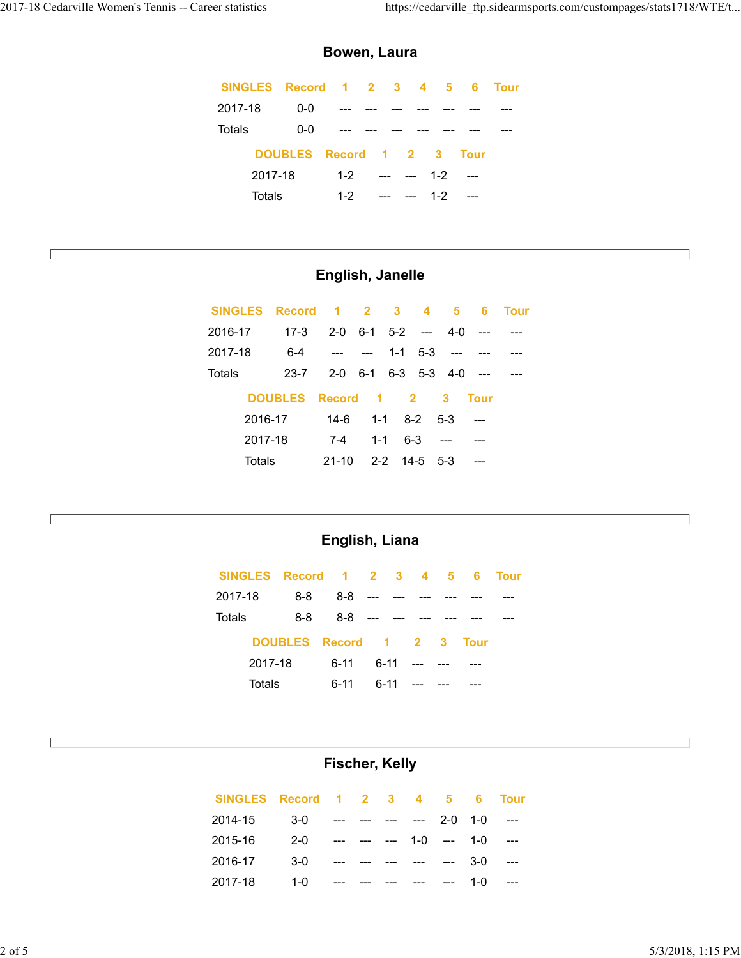$\Box$ 

Е

E

#### **Bowen, Laura**

|         |         | SINGLES Record 1 2 3 4 5 6 Tour |         |  |             |         |  |
|---------|---------|---------------------------------|---------|--|-------------|---------|--|
| 2017-18 |         | 0-0                             |         |  |             |         |  |
| Totals  |         | $0-0$                           |         |  |             |         |  |
|         |         | DOUBLES Record 1 2 3 Tour       |         |  |             |         |  |
|         | 2017-18 |                                 | $1 - 2$ |  | --- --- 1-2 |         |  |
|         | Totals  |                                 | $1 - 2$ |  |             | $1 - 2$ |  |

# **English, Janelle**

| <b>SINGLES</b> | Record                | 1 2 3 4                   |              |                     | 5.           | -6          | <b>Tour</b> |
|----------------|-----------------------|---------------------------|--------------|---------------------|--------------|-------------|-------------|
| 2016-17        | $17-3$                | $2-0$ 6-1 5-2 --- 4-0     |              |                     |              |             |             |
| 2017-18        | $6 - 4$               |                           |              | $1 - 1$ $5 - 3$ --- |              |             |             |
| Totals         | $23 - 7$              | $2-0$ 6-1 6-3 5-3 4-0 --- |              |                     |              |             |             |
|                | <b>DOUBLES</b> Record |                           | $1 \quad 2$  |                     | $\mathbf{3}$ | <b>Tour</b> |             |
|                | 2016-17               | 14-6                      | $1 - 1$      | $8-2$ 5-3           |              |             |             |
|                | 2017-18               | 7-4                       | $1 - 1$      | $6 - 3$             |              |             |             |
| Totals         |                       | $21-10$                   | 2-2 14-5 5-3 |                     |              |             |             |

#### **English, Liana**

| SINGLES Record 1 2 3 4 5 6 |                      |               |  |              |             | <b>Tour</b> |
|----------------------------|----------------------|---------------|--|--------------|-------------|-------------|
| 2017-18                    | 8-8                  | 8-8           |  |              |             |             |
| Totals                     | 8-8                  | $8-8$ --- --- |  |              |             |             |
|                            | DOUBLES Record 1 2 3 |               |  |              | <b>Tour</b> |             |
| 2017-18                    |                      | հ-11          |  | 6-11 --- --- |             |             |
| Totals                     |                      | $6 - 11$      |  | 6-11 ---     |             |             |

### **Fischer, Kelly**

| SINGLES Record 1 2 3 4 5 6 |                               |  |  |                                    |     | <b>Tour</b>          |
|----------------------------|-------------------------------|--|--|------------------------------------|-----|----------------------|
| 2014-15                    | $3-0$ --- --- --- --- 2-0 1-0 |  |  |                                    |     |                      |
| 2015-16                    | $2 - 0$                       |  |  | --- --- --- 1-0 --- 1-0            |     |                      |
| 2016-17                    | $3-0$                         |  |  | --- --- --- --- --- --- 3-0        |     | $\sim$ $\sim$ $\sim$ |
| 2017-18                    | 1- $\Omega$                   |  |  | المنفس المنفس المنفس المنفس المنفس | 1-0 | $\sim$               |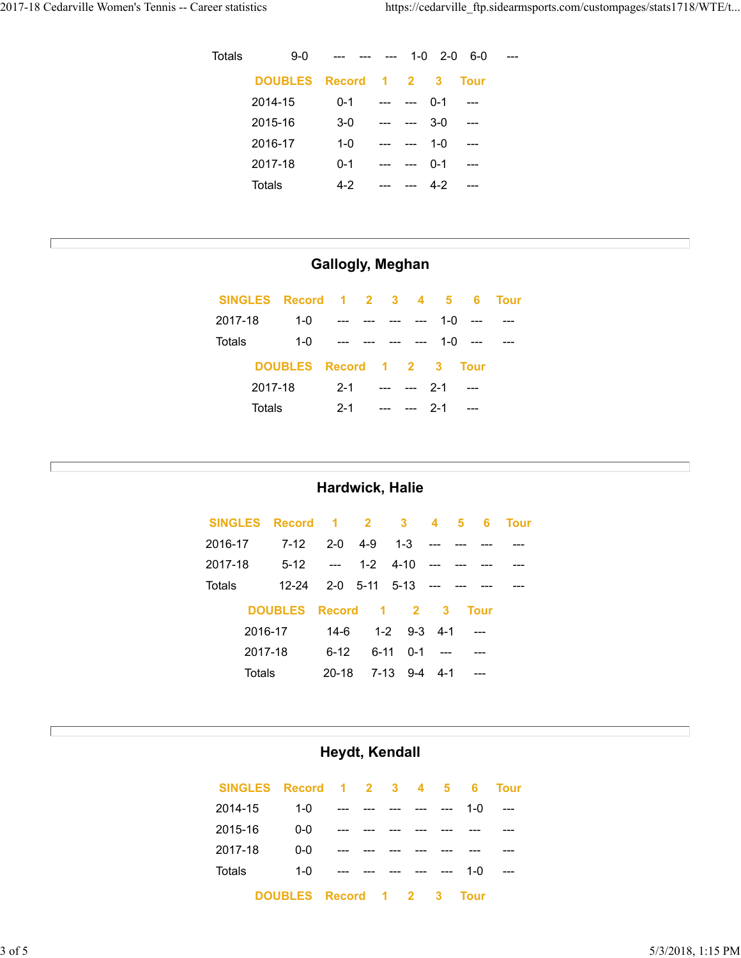Е

Г

 $\Box$ 

| Totals | $9-0$                |         | $---$ |                     |         | $1 - 0$ 2-0 6-0 |  |
|--------|----------------------|---------|-------|---------------------|---------|-----------------|--|
|        | DOUBLES Record 1 2 3 |         |       |                     |         | <b>Tour</b>     |  |
|        | 2014-15              | $0 - 1$ | $---$ | $   -$              | $0 - 1$ | $---$           |  |
|        | 2015-16              | $3-0$   | $---$ | $ -$                | $3-0$   | $---$           |  |
|        | 2016-17              | $1 - 0$ |       | <b>Allen States</b> | $1 - 0$ | $---$           |  |
|        | 2017-18              | $0 - 1$ | $---$ | $-$                 | $0 - 1$ | $---$           |  |
|        | Totals               | 4-2     |       | $---$               | $4 - 2$ |                 |  |

## **Gallogly, Meghan**

|         | SINGLES Record 1 2 3 4 5 6 |                                           |             |                     |           | <b>Tour</b> |
|---------|----------------------------|-------------------------------------------|-------------|---------------------|-----------|-------------|
| 2017-18 | $1 - 0$                    | $\sim$ $\sim$                             |             |                     | $1-0$ --- |             |
| Totals  | 1-0                        | <b>Service Contract Contract Contract</b> |             | --- --- --- 1-0 --- |           |             |
|         | DOUBLES Record 1 2 3 Tour  |                                           |             |                     |           |             |
|         | 2017-18                    | $2 - 1$                                   | --- --- 2-1 |                     |           |             |
|         | Totals                     | $2 - 1$                                   |             |                     |           |             |

#### **Hardwick, Halie**

|         |         | SINGLES Record 1 2 3 4      |                       |                  |                  | 5. | - 6         | <b>Tour</b> |
|---------|---------|-----------------------------|-----------------------|------------------|------------------|----|-------------|-------------|
| 2016-17 |         | 7-12                        | 2-0 4-9 1-3 ---       |                  |                  |    |             |             |
| 2017-18 |         | $5-12$ --- 1-2 4-10 --- --- |                       |                  |                  |    |             |             |
| Totals  |         | 12-24                       | 2-0 5-11 5-13 --- --- |                  |                  |    |             |             |
|         |         | <b>DOUBLES</b>              | Record 1 2 3          |                  |                  |    | <b>Tour</b> |             |
|         | 2016-17 |                             |                       | 14-6 1-2 9-3 4-1 |                  |    | - ---       |             |
|         | 2017-18 |                             | հ-12                  |                  | $6-11$ $0-1$ --- |    |             |             |
|         | Totals  |                             | 20-18                 |                  | 7-13 9-4 4-1     |    |             |             |

#### **Heydt, Kendall**

| SINGLES Record 1 2 3 4 5 6 |                      |                      |  |                                                                                       |             | <b>Tour</b> |
|----------------------------|----------------------|----------------------|--|---------------------------------------------------------------------------------------|-------------|-------------|
| 2014-15                    | $1 - 0$              | ____ ___ ___ ___ ___ |  |                                                                                       | 1- $\Omega$ |             |
| 2015-16                    | $0 - 0$              |                      |  |                                                                                       |             |             |
| 2017-18                    | $0 - 0$              |                      |  |                                                                                       |             |             |
| Totals                     | 1- $\Omega$          |                      |  | $\frac{1}{2}$ and $\frac{1}{2}$ and $\frac{1}{2}$ and $\frac{1}{2}$ and $\frac{1}{2}$ | 1-0         | $---$       |
|                            | DOUBLES Record 1 2 3 |                      |  |                                                                                       | Tour        |             |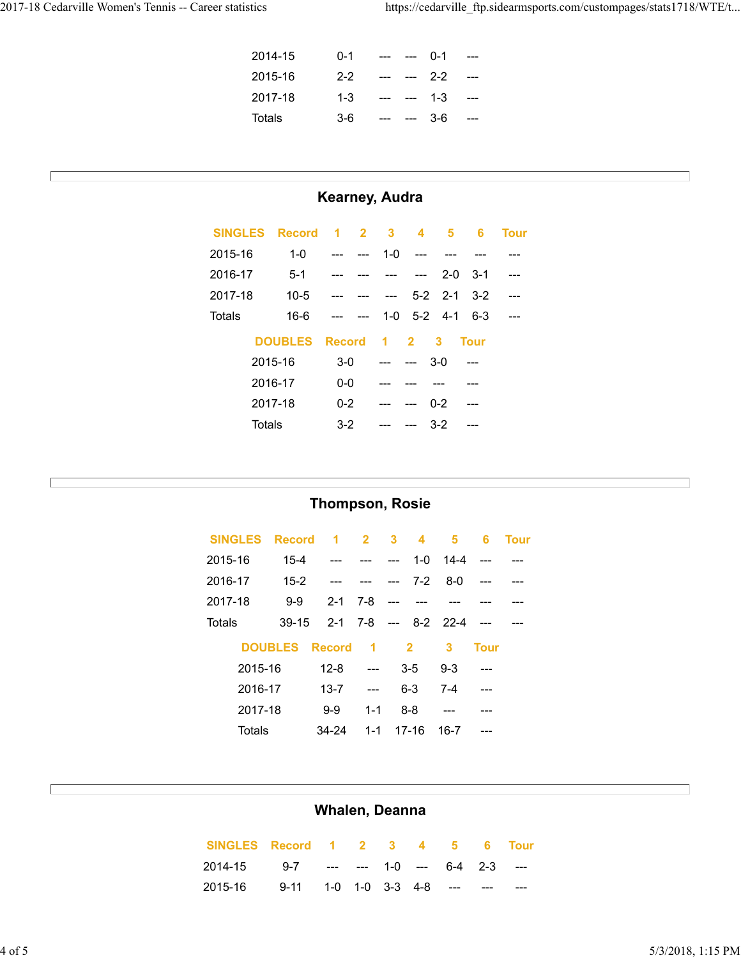$\overline{\phantom{a}}$ 

Г

Г

| 2014-15 | $0 - 1$ | --- --- 0-1                                                                     |     | $-$           |
|---------|---------|---------------------------------------------------------------------------------|-----|---------------|
| 2015-16 | $2 - 2$ | --- --- 2-2                                                                     |     | $-$           |
| 2017-18 | $1 - 3$ | --- --- 1-3                                                                     |     | $\sim$ $\sim$ |
| Totals  | $3-6$   | $\mathcal{L}(\mathcal{L}(\mathcal{L})) = \mathcal{L}(\mathcal{L}(\mathcal{L}))$ | 3-6 | $-$           |

# **Kearney, Audra**

| <b>SINGLES</b> | Record 1 2 3   |               |       |          |                           | $4\quad 5$    | -6          | <b>Tour</b> |
|----------------|----------------|---------------|-------|----------|---------------------------|---------------|-------------|-------------|
| 2015-16        | $1 - 0$        |               | $---$ | $1-0$    |                           |               |             |             |
| 2016-17        | $5-1$          |               |       |          | $  -$                     |               | $2 - 0$ 3-1 |             |
| 2017-18        | $10 - 5$       |               |       | $-$      |                           | $5-2$ 2-1     | $3-2$       |             |
| Totals         | $16-6$         | $---$         | $ -$  |          |                           | $1-0$ 5-2 4-1 | $6-3$       |             |
|                | <b>DOUBLES</b> | <b>Record</b> |       | $\sim$ 1 | $2^{\circ}$               | 3             | <b>Tour</b> |             |
|                | 2015-16        | $3-0$         |       |          | $\qquad \qquad -\qquad$   | $3-0$         |             |             |
|                | 2016-17        | $0 - 0$       |       |          |                           |               |             |             |
|                | 2017-18        | $0 - 2$       |       |          | $\qquad \qquad -\qquad -$ | $0 - 2$       |             |             |
|                | Totals         | $3 - 2$       |       |          |                           | $3-2$         |             |             |

## **Thompson, Rosie**

| <b>SINGLES</b> | <b>Record</b>  | -1            | $\sim$ 2         | $3^{\circ}$ | $\overline{\mathbf{4}}$ | 5                    | 6           | <b>Tour</b> |
|----------------|----------------|---------------|------------------|-------------|-------------------------|----------------------|-------------|-------------|
| 2015-16        | $15 - 4$       |               |                  | $---$       | 1-0                     | $14 - 4$             |             |             |
| 2016-17        | $15 - 2$       |               |                  | $-$         | $7-2$                   | $8 - 0$              |             |             |
| 2017-18        | $9-9$          | $2 - 1$       | 7-8              | $- - -$     |                         |                      |             |             |
| Totals         | $39-15$        |               |                  |             |                         | 2-1 7-8 --- 8-2 22-4 |             |             |
|                | <b>DOUBLES</b> | <b>Record</b> | $\blacksquare$ 1 | $\sim$ 2    |                         | 3                    | <b>Tour</b> |             |
| 2015-16        |                | $12 - 8$      | $\overline{a}$   |             | $3-5$                   | $9 - 3$              |             |             |
| 2016-17        |                | $13 - 7$      | $---$            | $6 - 3$     |                         | $7 - 4$              |             |             |
|                | 2017-18        |               | $1 - 1$          | 8-8         |                         |                      |             |             |
| Totals         |                | 34-24         | $1 - 1$          |             | $17-16$                 | 16-7                 |             |             |

# **Whalen, Deanna**

| SINGLES Record 1 2 3 4 5 6 Tour          |  |  |  |  |
|------------------------------------------|--|--|--|--|
| 2014-15 9-7 --- --- 1-0 --- 6-4 2-3 ---  |  |  |  |  |
| 2015-16 9-11 1-0 1-0 3-3 4-8 --- --- --- |  |  |  |  |